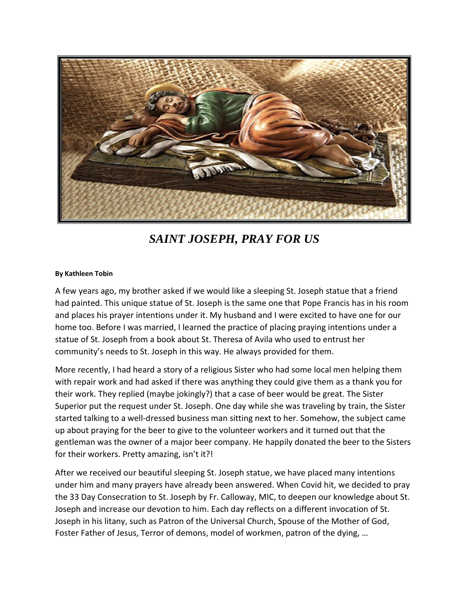

*SAINT JOSEPH, PRAY FOR US*

## **By Kathleen Tobin**

A few years ago, my brother asked if we would like a sleeping St. Joseph statue that a friend had painted. This unique statue of St. Joseph is the same one that Pope Francis has in his room and places his prayer intentions under it. My husband and I were excited to have one for our home too. Before I was married, I learned the practice of placing praying intentions under a statue of St. Joseph from a book about St. Theresa of Avila who used to entrust her community's needs to St. Joseph in this way. He always provided for them.

More recently, I had heard a story of a religious Sister who had some local men helping them with repair work and had asked if there was anything they could give them as a thank you for their work. They replied (maybe jokingly?) that a case of beer would be great. The Sister Superior put the request under St. Joseph. One day while she was traveling by train, the Sister started talking to a well-dressed business man sitting next to her. Somehow, the subject came up about praying for the beer to give to the volunteer workers and it turned out that the gentleman was the owner of a major beer company. He happily donated the beer to the Sisters for their workers. Pretty amazing, isn't it?!

After we received our beautiful sleeping St. Joseph statue, we have placed many intentions under him and many prayers have already been answered. When Covid hit, we decided to pray the 33 Day Consecration to St. Joseph by Fr. Calloway, MIC, to deepen our knowledge about St. Joseph and increase our devotion to him. Each day reflects on a different invocation of St. Joseph in his litany, such as Patron of the Universal Church, Spouse of the Mother of God, Foster Father of Jesus, Terror of demons, model of workmen, patron of the dying, …